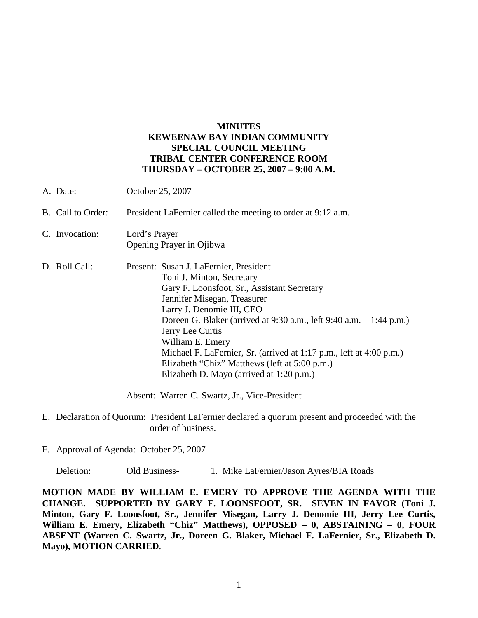## **MINUTES KEWEENAW BAY INDIAN COMMUNITY SPECIAL COUNCIL MEETING TRIBAL CENTER CONFERENCE ROOM THURSDAY – OCTOBER 25, 2007 – 9:00 A.M.**

| A. Date:          | October 25, 2007                                                                                                                                                                                                                                                                                                                                                                                                                                                  |
|-------------------|-------------------------------------------------------------------------------------------------------------------------------------------------------------------------------------------------------------------------------------------------------------------------------------------------------------------------------------------------------------------------------------------------------------------------------------------------------------------|
| B. Call to Order: | President LaFernier called the meeting to order at 9:12 a.m.                                                                                                                                                                                                                                                                                                                                                                                                      |
| C. Invocation:    | Lord's Prayer<br>Opening Prayer in Ojibwa                                                                                                                                                                                                                                                                                                                                                                                                                         |
| D. Roll Call:     | Present: Susan J. LaFernier, President<br>Toni J. Minton, Secretary<br>Gary F. Loonsfoot, Sr., Assistant Secretary<br>Jennifer Misegan, Treasurer<br>Larry J. Denomie III, CEO<br>Doreen G. Blaker (arrived at 9:30 a.m., left 9:40 a.m. – 1:44 p.m.)<br>Jerry Lee Curtis<br>William E. Emery<br>Michael F. LaFernier, Sr. (arrived at 1:17 p.m., left at 4:00 p.m.)<br>Elizabeth "Chiz" Matthews (left at 5:00 p.m.)<br>Elizabeth D. Mayo (arrived at 1:20 p.m.) |

Absent: Warren C. Swartz, Jr., Vice-President

- E. Declaration of Quorum: President LaFernier declared a quorum present and proceeded with the order of business.
- F. Approval of Agenda: October 25, 2007

Deletion: Old Business- 1. Mike LaFernier/Jason Ayres/BIA Roads

**MOTION MADE BY WILLIAM E. EMERY TO APPROVE THE AGENDA WITH THE CHANGE. SUPPORTED BY GARY F. LOONSFOOT, SR. SEVEN IN FAVOR (Toni J. Minton, Gary F. Loonsfoot, Sr., Jennifer Misegan, Larry J. Denomie III, Jerry Lee Curtis, William E. Emery, Elizabeth "Chiz" Matthews), OPPOSED – 0, ABSTAINING – 0, FOUR ABSENT (Warren C. Swartz, Jr., Doreen G. Blaker, Michael F. LaFernier, Sr., Elizabeth D. Mayo), MOTION CARRIED**.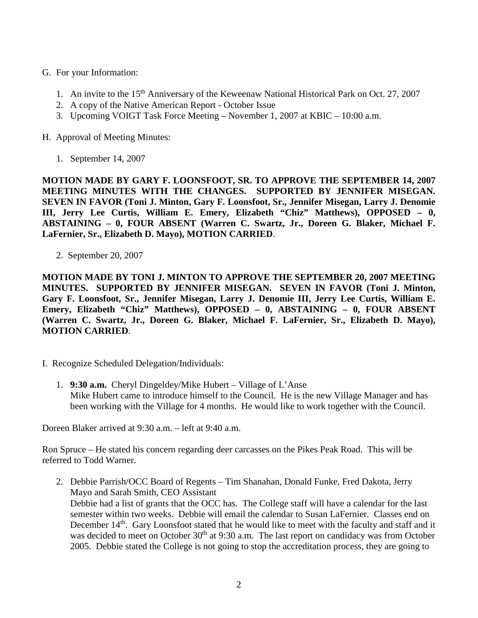- G. For your Information:
	- 1. An invite to the 15th Anniversary of the Keweenaw National Historical Park on Oct. 27, 2007
	- 2. A copy of the Native American Report October Issue
	- 3. Upcoming VOIGT Task Force Meeting November 1, 2007 at KBIC 10:00 a.m.
- H. Approval of Meeting Minutes:
	- 1. September 14, 2007

**MOTION MADE BY GARY F. LOONSFOOT, SR. TO APPROVE THE SEPTEMBER 14, 2007 MEETING MINUTES WITH THE CHANGES. SUPPORTED BY JENNIFER MISEGAN. SEVEN IN FAVOR (Toni J. Minton, Gary F. Loonsfoot, Sr., Jennifer Misegan, Larry J. Denomie III, Jerry Lee Curtis, William E. Emery, Elizabeth "Chiz" Matthews), OPPOSED – 0, ABSTAINING – 0, FOUR ABSENT (Warren C. Swartz, Jr., Doreen G. Blaker, Michael F. LaFernier, Sr., Elizabeth D. Mayo), MOTION CARRIED**.

2. September 20, 2007

**MOTION MADE BY TONI J. MINTON TO APPROVE THE SEPTEMBER 20, 2007 MEETING MINUTES. SUPPORTED BY JENNIFER MISEGAN. SEVEN IN FAVOR (Toni J. Minton, Gary F. Loonsfoot, Sr., Jennifer Misegan, Larry J. Denomie III, Jerry Lee Curtis, William E. Emery, Elizabeth "Chiz" Matthews), OPPOSED – 0, ABSTAINING – 0, FOUR ABSENT (Warren C. Swartz, Jr., Doreen G. Blaker, Michael F. LaFernier, Sr., Elizabeth D. Mayo), MOTION CARRIED**.

- I. Recognize Scheduled Delegation/Individuals:
	- 1. **9:30 a.m.** Cheryl Dingeldey/Mike Hubert Village of L'Anse Mike Hubert came to introduce himself to the Council. He is the new Village Manager and has been working with the Village for 4 months. He would like to work together with the Council.

Doreen Blaker arrived at 9:30 a.m. – left at 9:40 a.m.

Ron Spruce – He stated his concern regarding deer carcasses on the Pikes Peak Road. This will be referred to Todd Warner.

2. Debbie Parrish/OCC Board of Regents – Tim Shanahan, Donald Funke, Fred Dakota, Jerry Mayo and Sarah Smith, CEO Assistant Debbie had a list of grants that the OCC has. The College staff will have a calendar for the last semester within two weeks. Debbie will email the calendar to Susan LaFernier. Classes end on December 14<sup>th</sup>. Gary Loonsfoot stated that he would like to meet with the faculty and staff and it was decided to meet on October 30<sup>th</sup> at 9:30 a.m. The last report on candidacy was from October 2005. Debbie stated the College is not going to stop the accreditation process, they are going to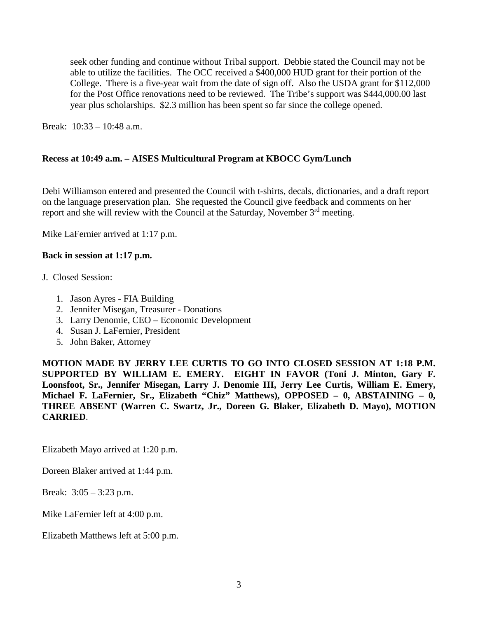seek other funding and continue without Tribal support. Debbie stated the Council may not be able to utilize the facilities. The OCC received a \$400,000 HUD grant for their portion of the College. There is a five-year wait from the date of sign off. Also the USDA grant for \$112,000 for the Post Office renovations need to be reviewed. The Tribe's support was \$444,000.00 last year plus scholarships. \$2.3 million has been spent so far since the college opened.

Break: 10:33 – 10:48 a.m.

## **Recess at 10:49 a.m. – AISES Multicultural Program at KBOCC Gym/Lunch**

Debi Williamson entered and presented the Council with t-shirts, decals, dictionaries, and a draft report on the language preservation plan. She requested the Council give feedback and comments on her report and she will review with the Council at the Saturday, November 3<sup>rd</sup> meeting.

Mike LaFernier arrived at 1:17 p.m.

## **Back in session at 1:17 p.m.**

- J. Closed Session:
	- 1. Jason Ayres FIA Building
	- 2. Jennifer Misegan, Treasurer Donations
	- 3. Larry Denomie, CEO Economic Development
	- 4. Susan J. LaFernier, President
	- 5. John Baker, Attorney

**MOTION MADE BY JERRY LEE CURTIS TO GO INTO CLOSED SESSION AT 1:18 P.M. SUPPORTED BY WILLIAM E. EMERY. EIGHT IN FAVOR (Toni J. Minton, Gary F. Loonsfoot, Sr., Jennifer Misegan, Larry J. Denomie III, Jerry Lee Curtis, William E. Emery, Michael F. LaFernier, Sr., Elizabeth "Chiz" Matthews), OPPOSED – 0, ABSTAINING – 0, THREE ABSENT (Warren C. Swartz, Jr., Doreen G. Blaker, Elizabeth D. Mayo), MOTION CARRIED**.

Elizabeth Mayo arrived at 1:20 p.m.

Doreen Blaker arrived at 1:44 p.m.

Break: 3:05 – 3:23 p.m.

Mike LaFernier left at 4:00 p.m.

Elizabeth Matthews left at 5:00 p.m.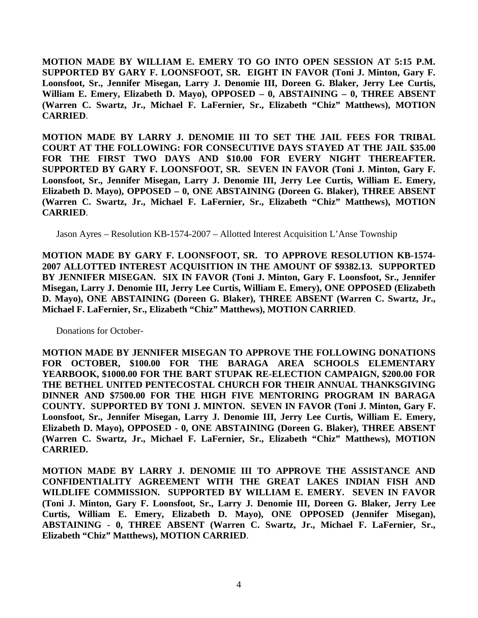**MOTION MADE BY WILLIAM E. EMERY TO GO INTO OPEN SESSION AT 5:15 P.M. SUPPORTED BY GARY F. LOONSFOOT, SR. EIGHT IN FAVOR (Toni J. Minton, Gary F. Loonsfoot, Sr., Jennifer Misegan, Larry J. Denomie III, Doreen G. Blaker, Jerry Lee Curtis, William E. Emery, Elizabeth D. Mayo), OPPOSED – 0, ABSTAINING – 0, THREE ABSENT (Warren C. Swartz, Jr., Michael F. LaFernier, Sr., Elizabeth "Chiz" Matthews), MOTION CARRIED**.

**MOTION MADE BY LARRY J. DENOMIE III TO SET THE JAIL FEES FOR TRIBAL COURT AT THE FOLLOWING: FOR CONSECUTIVE DAYS STAYED AT THE JAIL \$35.00 FOR THE FIRST TWO DAYS AND \$10.00 FOR EVERY NIGHT THEREAFTER. SUPPORTED BY GARY F. LOONSFOOT, SR. SEVEN IN FAVOR (Toni J. Minton, Gary F. Loonsfoot, Sr., Jennifer Misegan, Larry J. Denomie III, Jerry Lee Curtis, William E. Emery, Elizabeth D. Mayo), OPPOSED – 0, ONE ABSTAINING (Doreen G. Blaker), THREE ABSENT (Warren C. Swartz, Jr., Michael F. LaFernier, Sr., Elizabeth "Chiz" Matthews), MOTION CARRIED**.

Jason Ayres – Resolution KB-1574-2007 – Allotted Interest Acquisition L'Anse Township

**MOTION MADE BY GARY F. LOONSFOOT, SR. TO APPROVE RESOLUTION KB-1574- 2007 ALLOTTED INTEREST ACQUISITION IN THE AMOUNT OF \$9382.13. SUPPORTED BY JENNIFER MISEGAN. SIX IN FAVOR (Toni J. Minton, Gary F. Loonsfoot, Sr., Jennifer Misegan, Larry J. Denomie III, Jerry Lee Curtis, William E. Emery), ONE OPPOSED (Elizabeth D. Mayo), ONE ABSTAINING (Doreen G. Blaker), THREE ABSENT (Warren C. Swartz, Jr., Michael F. LaFernier, Sr., Elizabeth "Chiz" Matthews), MOTION CARRIED**.

Donations for October-

**MOTION MADE BY JENNIFER MISEGAN TO APPROVE THE FOLLOWING DONATIONS FOR OCTOBER, \$100.00 FOR THE BARAGA AREA SCHOOLS ELEMENTARY YEARBOOK, \$1000.00 FOR THE BART STUPAK RE-ELECTION CAMPAIGN, \$200.00 FOR THE BETHEL UNITED PENTECOSTAL CHURCH FOR THEIR ANNUAL THANKSGIVING DINNER AND \$7500.00 FOR THE HIGH FIVE MENTORING PROGRAM IN BARAGA COUNTY. SUPPORTED BY TONI J. MINTON. SEVEN IN FAVOR (Toni J. Minton, Gary F. Loonsfoot, Sr., Jennifer Misegan, Larry J. Denomie III, Jerry Lee Curtis, William E. Emery, Elizabeth D. Mayo), OPPOSED - 0, ONE ABSTAINING (Doreen G. Blaker), THREE ABSENT (Warren C. Swartz, Jr., Michael F. LaFernier, Sr., Elizabeth "Chiz" Matthews), MOTION CARRIED.**

**MOTION MADE BY LARRY J. DENOMIE III TO APPROVE THE ASSISTANCE AND CONFIDENTIALITY AGREEMENT WITH THE GREAT LAKES INDIAN FISH AND WILDLIFE COMMISSION. SUPPORTED BY WILLIAM E. EMERY. SEVEN IN FAVOR (Toni J. Minton, Gary F. Loonsfoot, Sr., Larry J. Denomie III, Doreen G. Blaker, Jerry Lee Curtis, William E. Emery, Elizabeth D. Mayo), ONE OPPOSED (Jennifer Misegan), ABSTAINING - 0, THREE ABSENT (Warren C. Swartz, Jr., Michael F. LaFernier, Sr., Elizabeth "Chiz" Matthews), MOTION CARRIED**.